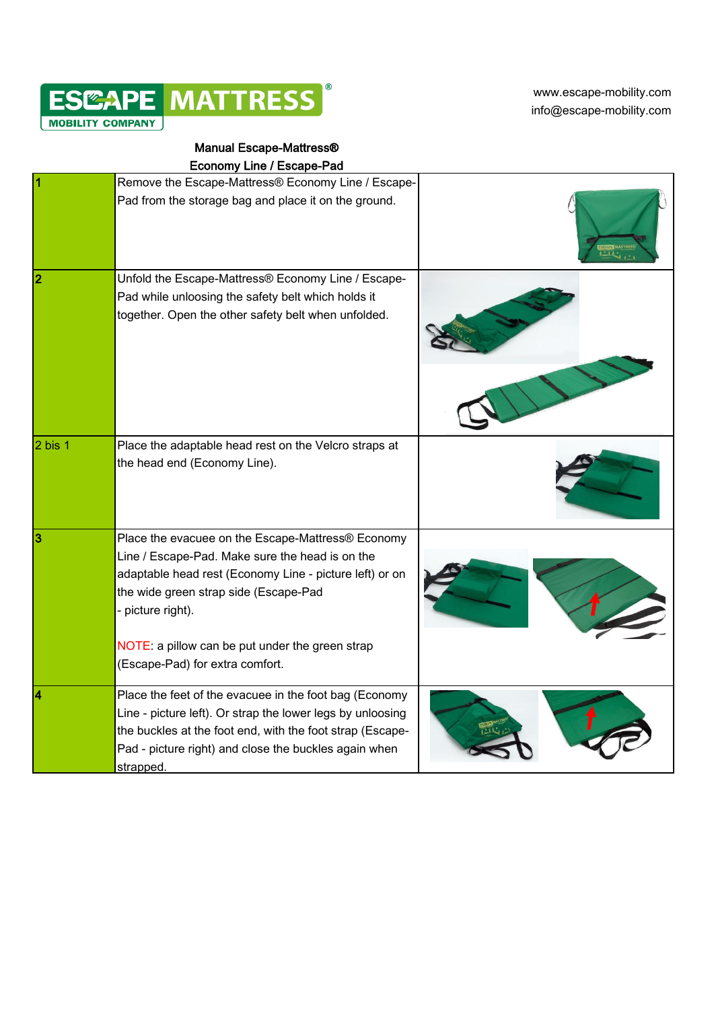

[w](http://www.escape-mobility.com/)ww.escape-mobility.com info@escape-mobility.com

## Manual Escape-Mattress®

|  |  | <b>Economy Line / Escape-Pad</b> |  |
|--|--|----------------------------------|--|
|--|--|----------------------------------|--|

|             | Remove the Escape-Mattress® Economy Line / Escape-                                                                                                                                                                                                                                                                  |  |
|-------------|---------------------------------------------------------------------------------------------------------------------------------------------------------------------------------------------------------------------------------------------------------------------------------------------------------------------|--|
|             | Pad from the storage bag and place it on the ground.                                                                                                                                                                                                                                                                |  |
| 2           | Unfold the Escape-Mattress® Economy Line / Escape-<br>Pad while unloosing the safety belt which holds it<br>together. Open the other safety belt when unfolded.                                                                                                                                                     |  |
| $2$ bis $1$ | Place the adaptable head rest on the Velcro straps at<br>the head end (Economy Line).                                                                                                                                                                                                                               |  |
| 3           | Place the evacuee on the Escape-Mattress® Economy<br>Line / Escape-Pad. Make sure the head is on the<br>adaptable head rest (Economy Line - picture left) or on<br>the wide green strap side (Escape-Pad<br>- picture right).<br>NOTE: a pillow can be put under the green strap<br>(Escape-Pad) for extra comfort. |  |
|             | Place the feet of the evacuee in the foot bag (Economy<br>Line - picture left). Or strap the lower legs by unloosing<br>the buckles at the foot end, with the foot strap (Escape-<br>Pad - picture right) and close the buckles again when<br>strapped.                                                             |  |